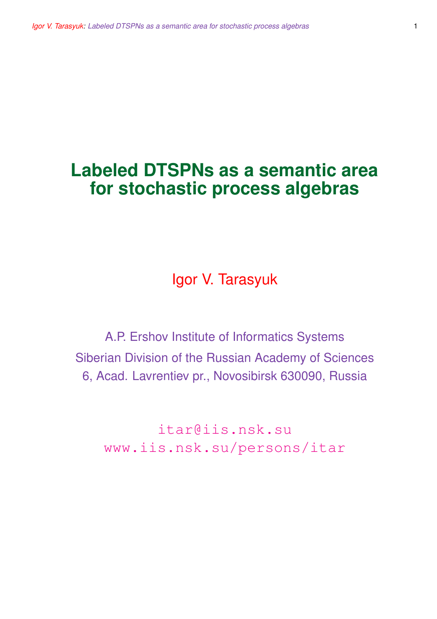# **Labeled DTSPNs as a semantic area for stochastic process algebras**

Igor V. Tarasyuk

A.P. Ershov Institute of Informatics Systems Siberian Division of the Russian Academy of Sciences 6, Acad. Lavrentiev pr., Novosibirsk 630090, Russia

itar@iis.nsk.su www.iis.nsk.su/persons/itar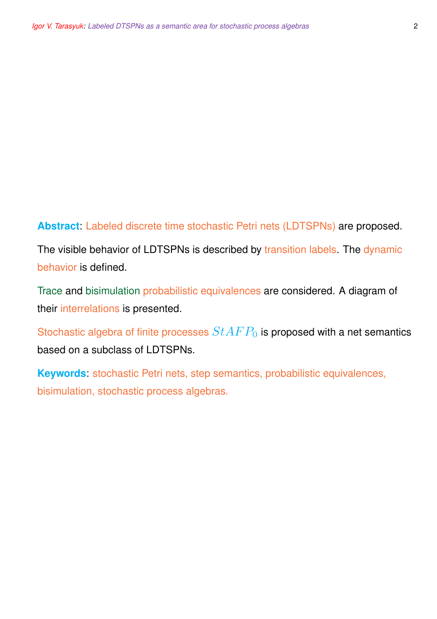#### **Abstract**: Labeled discrete time stochastic Petri nets (LDTSPNs) are proposed.

The visible behavior of LDTSPNs is described by transition labels. The dynamic behavior is defined.

Trace and bisimulation probabilistic equivalences are considered. A diagram of their interrelations is presented.

Stochastic algebra of finite processes  $StAFP_0$  is proposed with a net semantics based on a subclass of LDTSPNs.

**Keywords**: stochastic Petri nets, step semantics, probabilistic equivalences, bisimulation, stochastic process algebras.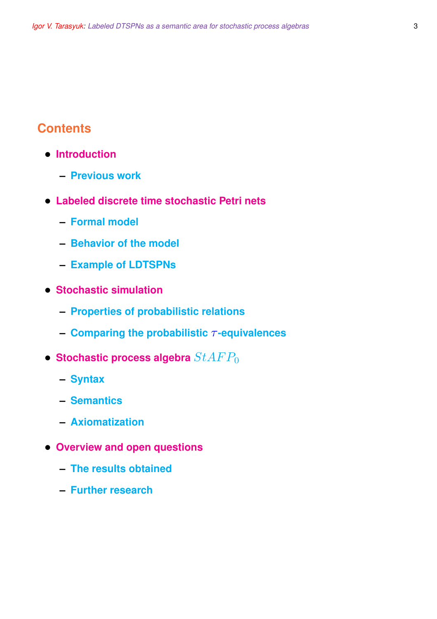## **Contents**

- **Introduction**
	- **– Previous work**
- **Labeled discrete time stochastic Petri nets**
	- **– Formal model**
	- **– Behavior of the model**
	- **– Example of LDTSPNs**
- **Stochastic simulation**
	- **– Properties of probabilistic relations**
	- **– Comparing the probabilistic** τ **-equivalences**
- **Stochastic process algebra**  $StAFP_0$ 
	- **– Syntax**
	- **– Semantics**
	- **– Axiomatization**
- **Overview and open questions**
	- **– The results obtained**
	- **– Further research**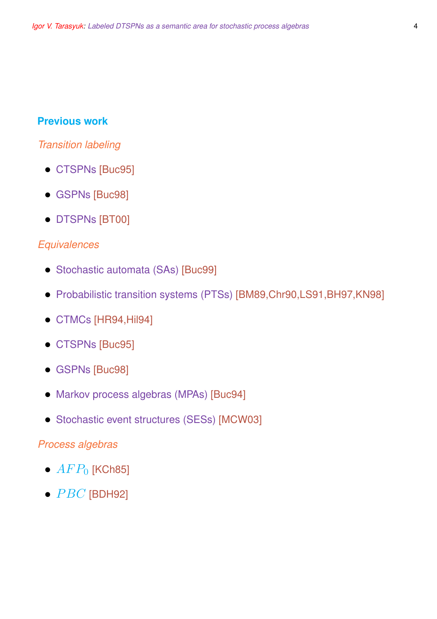## **Previous work**

## *Transition labeling*

- CTSPNs [Buc95]
- GSPNs [Buc98]
- DTSPNs [BT00]

## *Equivalences*

- Stochastic automata (SAs) [Buc99]
- Probabilistic transition systems (PTSs) [BM89,Chr90,LS91,BH97,KN98]
- CTMCs [HR94,Hil94]
- CTSPNs [Buc95]
- GSPNs [Buc98]
- Markov process algebras (MPAs) [Buc94]
- Stochastic event structures (SESs) [MCW03]

#### *Process algebras*

- $AFP<sub>0</sub>$  [KCh85]
- $\bullet$   $PBC$  [BDH92]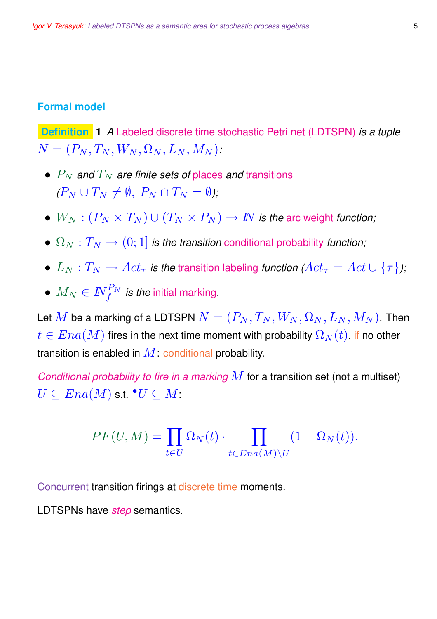#### **Formal model**

**Definition 1** *A* Labeled discrete time stochastic Petri net (LDTSPN) *is a tuple*  $N = (P_N, T_N, W_N, \Omega_N, L_N, M_N).$ 

- $\bullet$   $P_N$  *and*  $T_N$  *are finite sets of places and transitions*  $(P_N \cup T_N \neq \emptyset, P_N \cap T_N = \emptyset)$ :
- $W_N : (P_N \times T_N) \cup (T_N \times P_N) \to \mathbb{N}$  is the arc weight function;
- $\Omega_N : T_N \to (0; 1]$  *is the transition* conditional probability *function;*
- $L_N: T_N \to Act_\tau$  *is the transition labeling function*  $Act_\tau = Act \cup {\tau}$ *;*
- $\bullet$   $M_N \in I\!\!N_f^{P_N}$  *is the* initial marking.

Let  $M$  be a marking of a LDTSPN  $N = (P_N, T_N, W_N, \Omega_N, L_N, M_N)$ . Then  $t \in Ena(M)$  fires in the next time moment with probability  $\Omega_N(t)$ , if no other transition is enabled in  $M$ : conditional probability.

*Conditional probability to fire in a marking* M for a transition set (not a multiset)  $\overline{U} \subseteq Ena(M)$  s.t.  $^\bullet \overline{U} \subseteq \overline{M}$ :

$$
PF(U, M) = \prod_{t \in U} \Omega_N(t) \cdot \prod_{t \in Ena(M) \setminus U} (1 - \Omega_N(t)).
$$

Concurrent transition firings at discrete time moments.

LDTSPNs have *step* semantics.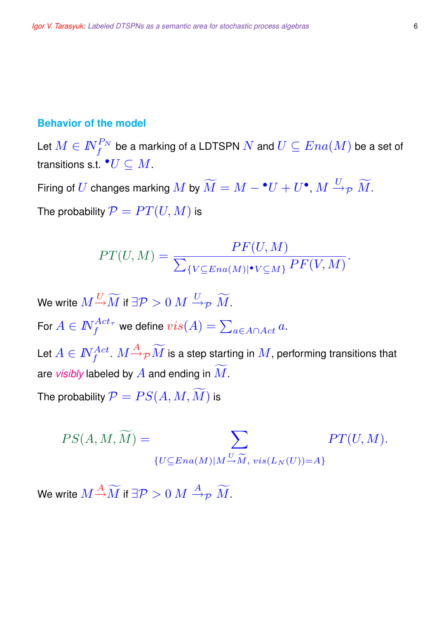#### **Behavior of the model**

Let  $M\in I\!\!N_f^{P_N}$  be a marking of a LDTSPN  $N$  and  $U\subseteq Ena(M)$  be a set of transitions s.t.  $^{\bullet}U\subseteq M.$ 

Firing of  $U$  changes marking  $M$  by  $\widetilde{M}=M-\overset{\bullet}{}U+U^{\bullet},$   $M\overset{U}{\to}_{\mathcal{P}}\widetilde{M}.$ The probability  $\mathcal{P} = PT(U, M)$  is

$$
PT(U, M) = \frac{PF(U, M)}{\sum_{\{V \subseteq Ena(M) | \bullet V \subseteq M\}} PF(V, M)}.
$$

We write  $M\frac{U}{\rightarrow}\widetilde{M}$  if  $\exists \mathcal{P} > 0$   $M \stackrel{U}{\rightarrow}_\mathcal{P} \widetilde{M}$ . For  $A\in I\!\!N_f^{Act_\tau}$  we define  $vis(A)=\sum_{a\in A\cap Act}a.$ Let  $A\in I\!\!N_f^{Act}$  .  $M{\overset{}{\rightarrow}}_{{\cal P}}\widetilde{M}$  is a step starting in  $M$ , performing transitions that are *visibly* labeled by  $\overline{A}$  and ending in  $\overline{M}$ . The probability  $\mathcal{P}=PS(A,M,\widetilde{M})$  is

$$
PS(A, M, \widetilde{M}) = \sum_{\{U \subseteq Ena(M)|M \stackrel{U}{\rightarrow} \widetilde{M}, \ vis(L_N(U)) = A\}} PT(U, M).
$$

We write  $M\frac{A}{\rightarrow}\widetilde{M}$  if  $\exists\mathcal{P}>0$   $M\stackrel{A}{\rightarrow}_{\mathcal{P}}\widetilde{M}$ .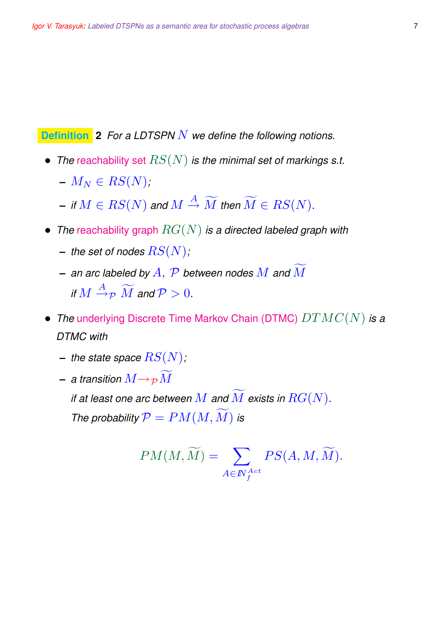**Definition 2** *For a LDTSPN* N *we define the following notions.*

- *The* reachability set RS(N) *is the minimal set of markings s.t.*
	- $-M_N \in RS(N)$ ;
	- $-$  *if*  $M \in RS(N)$  and  $M \stackrel{A}{\to} \widetilde{M}$  then  $\widetilde{M} \in RS(N)$ .
- *The* reachability graph RG(N) *is a directed labeled graph with*
	- $-$  *the set of nodes*  $RS(N)$ ;
	- **–** *an arc labeled by* A, P *between nodes* M *and* Mf *if*  $M \stackrel{A}{\rightarrow}_\mathcal{P} \widetilde{M}$  *and*  $\mathcal{P} > 0$ *.*
- *The* underlying Discrete Time Markov Chain (DTMC) DTMC(N) *is a DTMC with*
	- $-$  *the state space*  $RS(N)$ ;
	- **–** a transition  $M \rightarrow_{\mathcal{P}} \widetilde{M}$

*if at least one arc between*  $M$  *and*  $\overline{M}$  *exists in*  $RG(N)$ *. The probability*  $P = PM(M, M)$  *is* 

$$
PM(M,\widetilde{M}) = \sum_{A \in \mathbb{N}_f^{Act}} PS(A, M, \widetilde{M}).
$$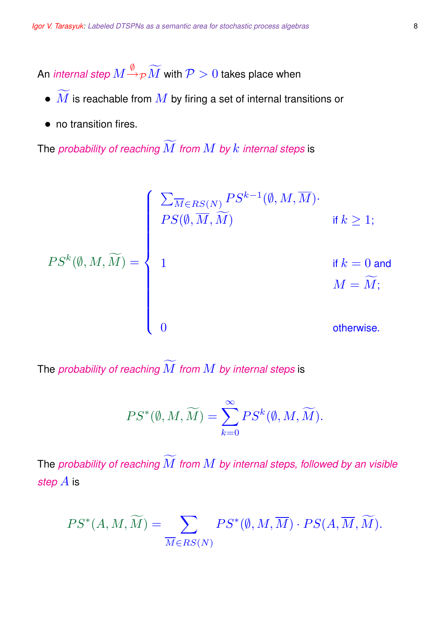An *internal step*  $M \H \to_{\mathcal{P}} \widetilde{M}$  *with*  $\mathcal{P} > 0$  *takes place when* 

- $\bullet$   $\widetilde{M}$  is reachable from  $M$  by firing a set of internal transitions or
- no transition fires.

The *probability of reaching*  $\widetilde{M}$  *from*  $M$  *by*  $k$  *internal steps* is

$$
PS^{k}(\emptyset, M, \widetilde{M}) = \left\{ \begin{array}{ll} \sum_{\overline{M} \in RS(N)} PS^{k-1}(\emptyset, M, \overline{M}) & \text{if } k \geq 1; \\ & \\ \displaystyle \hspace{1.5cm} \text{if } k = 0 \text{ and} \\ & \\ \displaystyle 1 & \text{if } k = 0 \text{ and} \\ & \\ \displaystyle 0 & \text{otherwise}. \end{array} \right.
$$

The *probability of reaching*  $\widetilde{M}$  *from*  $M$  *by internal steps* is

$$
PS^*(\emptyset,M,\widetilde{M})=\sum_{k=0}^{\infty} PS^k(\emptyset,M,\widetilde{M}).
$$

The *probability of reaching*  $\widetilde{M}$  *from*  $M$  *by internal steps, followed by an visible step* A is

$$
PS^*(A, M, \widetilde{M}) = \sum_{\overline{M} \in RS(N)} PS^*(\emptyset, M, \overline{M}) \cdot PS(A, \overline{M}, \widetilde{M}).
$$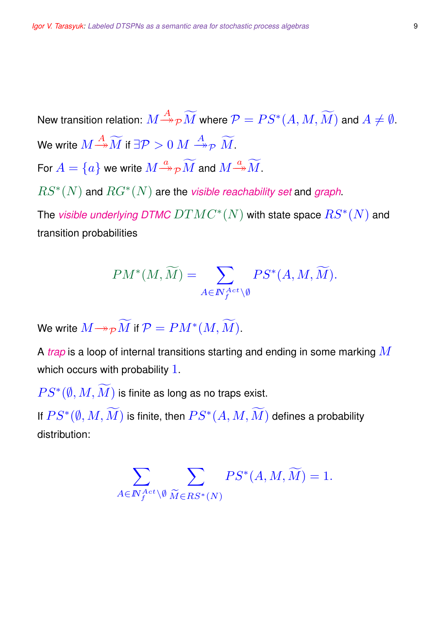New transition relation:  $M{\mathop{\longrightarrow}\limits^{A}}_{{\cal P}}\widetilde{M}$  where  ${\cal P}=PS^*(A,M,\widetilde{M})$  and  $A\neq\emptyset.$ We write  $M{\mathop{\to }\limits^{A}}\widetilde{M}$  if  $\exists \mathcal{P} > 0$   $M$   $\mathop{\to }\limits^{A}{}_{\mathcal{P}}$   $\widetilde{M}$ . For  $A=\{a\}$  we write  $M{\overset{a}{\twoheadrightarrow}}_{\cal P} \widetilde{M}$  and  $M{\overset{a}{\twoheadrightarrow}} \widetilde{M}.$  $RS^*(N)$  and  $RG^*(N)$  are the *visible reachability set* and *graph*.

The *visible underlying DTMC*  $DTMC^{\ast}(N)$  *with state space*  $\overline{RS^{\ast}(N)}$  *and* transition probabilities

$$
PM^*(M, \widetilde{M}) = \sum_{A \in \mathbb{N}_f^{Act} \backslash \emptyset} PS^*(A, M, \widetilde{M}).
$$

We write  $M {\twoheadrightarrow} _{{\cal P}}\widetilde{M}$  if  ${\cal P} = PM^*(M, \widetilde{M}).$ 

A *trap* is a loop of internal transitions starting and ending in some marking M which occurs with probability 1.

 $PS^{*}(\emptyset, M, \widetilde{M})$  is finite as long as no traps exist.

If  $PS^*(\emptyset, M, \widetilde{M})$  is finite, then  $PS^*(A, M, \widetilde{M})$  defines a probability distribution:

$$
\sum_{A\in I\!\!N_f^{Act}\backslash \emptyset} \sum_{\widetilde{M}\in RS^*(N)} PS^*(A,M,\widetilde{M}) = 1.
$$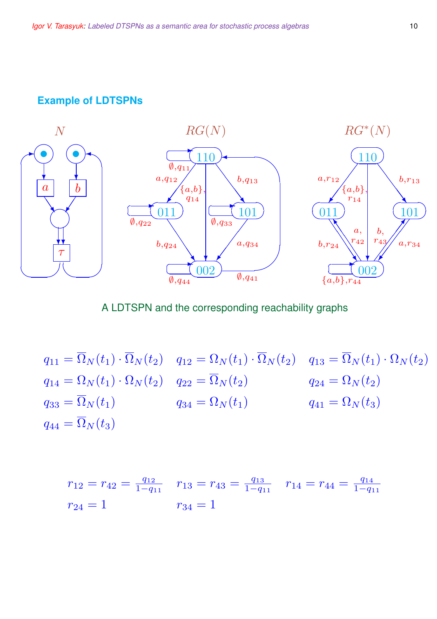#### **Example of LDTSPNs**



#### A LDTSPN and the corresponding reachability graphs

 $q_{11} = \overline{\Omega}_N(t_1) \cdot \overline{\Omega}_N(t_2)$   $q_{12} = \Omega_N(t_1) \cdot \overline{\Omega}_N(t_2)$   $q_{13} = \overline{\Omega}_N(t_1) \cdot \Omega_N(t_2)$  $q_{14} = \Omega_N(t_1) \cdot \Omega_N(t_2)$   $q_{22} = \overline{\Omega}_N(t_2)$   $q_{24} = \Omega_N(t_2)$  $q_{33} = \overline{\Omega}_N(t_1)$   $q_{34} = \Omega_N(t_1)$   $q_{41} = \Omega_N(t_3)$  $q_{44} = \overline{\Omega}_N(t_3)$ 

$$
r_{12} = r_{42} = \frac{q_{12}}{1 - q_{11}} \quad r_{13} = r_{43} = \frac{q_{13}}{1 - q_{11}} \quad r_{14} = r_{44} = \frac{q_{14}}{1 - q_{11}}
$$

$$
r_{24} = 1 \qquad r_{34} = 1
$$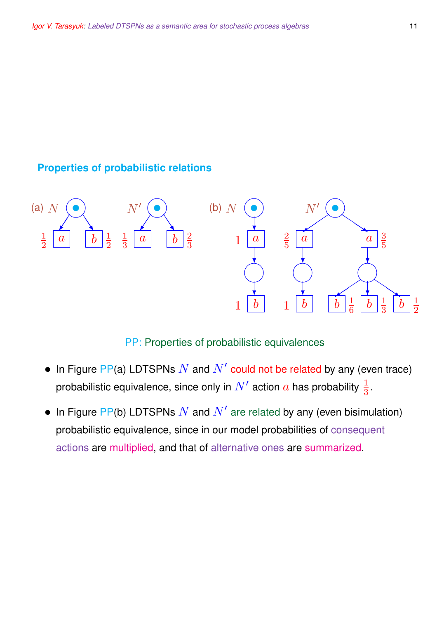## **Properties of probabilistic relations**



#### PP: Properties of probabilistic equivalences

- In Figure PP(a) LDTSPNs  $N$  and  $N'$  could not be related by any (even trace) probabilistic equivalence, since only in  $N'$  action  $a$  has probability  $\frac{1}{3}.$
- In Figure PP(b) LDTSPNs  $N$  and  $N'$  are related by any (even bisimulation) probabilistic equivalence, since in our model probabilities of consequent actions are multiplied, and that of alternative ones are summarized.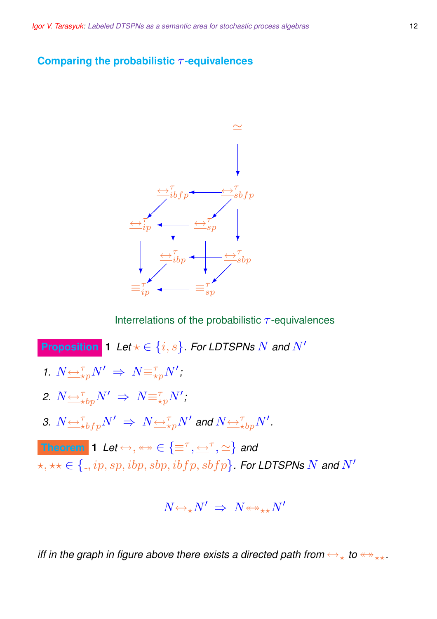#### **Comparing the probabilistic** τ **-equivalences**



Interrelations of the probabilistic  $\tau$ -equivalences

**Proposition 1** *Let*  $\star \in \{i, s\}$ *. For LDTSPNs* N and N' 1.  $N \underbrace{\leftrightarrow}^{\tau}_{\star p} N' \Rightarrow N \equiv^{\tau}_{\star p} N'$ ; 2.  $N{\overline{\leftrightarrow}}^{\tau}_{\star bp}N'$   $\Rightarrow$   $N{\overline{\equiv}}^{\tau}_{\star p}N'$ ; 3.  $N$   $\hookrightarrow$   $^{\tau}_{\star bfp}N'$   $\Rightarrow$   $N$   $\hookrightarrow$   $^{\tau}_{\star p}N'$  and  $N$   $\hookrightarrow$   $^{\tau}_{\star bp}N'$ . **Theorem 1** Let  $\leftrightarrow$ ,  $\leftrightarrow$   $\in$   $\{\equiv^{\tau}, \leftarrow^{\tau}, \simeq\}$  and  $\forall x, \forall x \in \{., ip, sp, ibp, sbp, ibfp, sbfp\}$ . For LDTSPNs N and N'

$$
N {\leftrightarrow_{\star}} N' \;\Rightarrow\; N {\leftrightarrow_{\star\star}} N'
$$

*iff in the graph in figure above there exists a directed path from*  $\leftrightarrow$ <sub>\*</sub> *to*  $\leftrightarrow$ <sub>\*\*</sub>.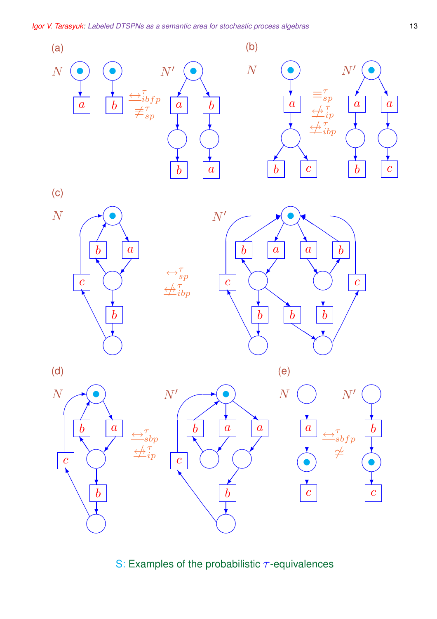

S: Examples of the probabilistic  $\tau$ -equivalences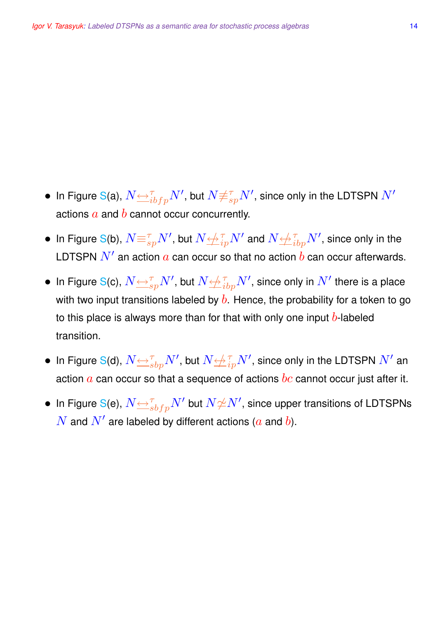- $\bullet\,$  In Figure S(a),  $N{\leftrightarrow}^{\tau}_{ibfp}N',$  but  $N{\not\equiv}^{\tau}_{sp}N',$  since only in the LDTSPN  $N'$ actions  $a$  and  $b$  cannot occur concurrently.
- $\bullet\,$  In Figure S(b),  $N {\equiv_{sp}^\tau} N',$  but  $N {\not\!\!\rightrightarrows}^\tau_{ip} N'$  and  $N {\not\!\!\rightrightarrows}^\tau_{ibp} N',$  since only in the LDTSPN  $N^\prime$  an action  $a$  can occur so that no action  $b$  can occur afterwards.
- $\bullet\,$  In Figure S(c),  $N{\leftrightarrow}\atop{{=}\!\!\!=}^{\tau}{}_sp}N',$  but  $N{\leftrightarrow}\atop{{=}\!\!\!=}^{\tau}{}_bp}N',$  since only in  $N'$  there is a place with two input transitions labeled by  $b$ . Hence, the probability for a token to go to this place is always more than for that with only one input  $b$ -labeled transition.
- $\bullet\,$  In Figure S(d),  $N{\triangleq}^{\tau}_{sbp}N',$  but  $N{\triangleq}^{\tau}_{ip}N',$  since only in the LDTSPN  $N'$  an action  $\alpha$  can occur so that a sequence of actions  $bc$  cannot occur just after it.
- $\bullet \,$  In Figure S(e),  $N{\leftrightarrow}^{\tau}_{sbfp}N'$  but  $N{\not \simeq}N',$  since upper transitions of LDTSPNs  $\overline{N}$  and  $\overline{N}'$  are labeled by different actions ( $a$  and  $b$ ).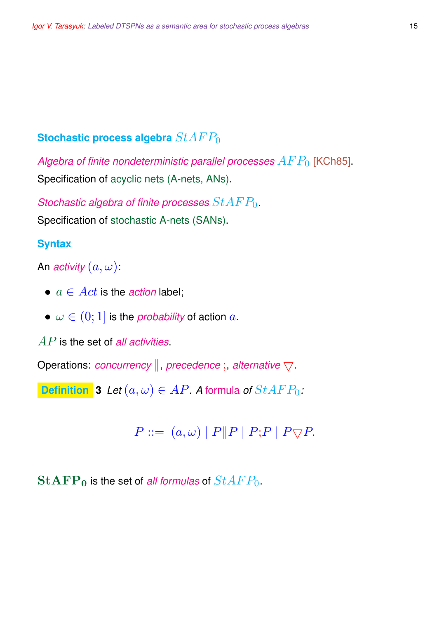## **Stochastic process algebra**  $StAFP_0$

Algebra of finite nondeterministic parallel processes  $AFP_0$  [KCh85]. Specification of acyclic nets (A-nets, ANs).

*Stochastic algebra of finite processes* StAF P0. Specification of stochastic A-nets (SANs).

#### **Syntax**

An *activity*  $(a, \omega)$ :

- $a \in Act$  is the *action* label;
- $\omega \in (0, 1]$  is the *probability* of action a.

AP is the set of *all activities*.

Operations: *concurrency*  $\|$ , *precedence* ; *alternative*  $\bigtriangledown$ .

**Definition 3** *Let*  $(a, \omega) \in AP$ *. A* formula *of*  $StAFP_0$ *:* 

 $P ::= (a, \omega) | P || P | P; P | P \nabla P.$ 

 $\mathbf{StAFP}_0$  is the set of *all formulas* of  $StAFP_0$ .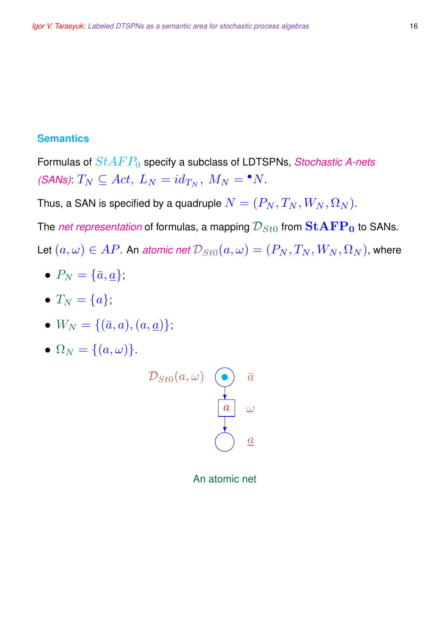## **Semantics**

Formulas of  $StAFP_0$  specify a subclass of LDTSPNs, *Stochastic A-nets (SANs)*:  $T_N \subseteq Act$ ,  $L_N = id_{T_N}$ ,  $M_N = \bullet N$ .

Thus, a SAN is specified by a quadruple  $N=(P_N, T_N, W_N, \Omega_N)$ .

The *net representation* of formulas, a mapping  $\mathcal{D}_{St0}$  from  $\textbf{StAPP}_0$  to SANs.

Let  $(a, \omega) \in AP$ . An *atomic net*  $\mathcal{D}_{St0}(a, \omega) = (P_N, T_N, W_N, \Omega_N)$ , where

- $P_N = {\overline{a}, \underline{a}};$
- $T_N = \{a\};$
- $W_N = \{(\bar{a}, a), (a, \underline{a})\};$
- $\Omega_N = \{(a, \omega)\}.$



An atomic net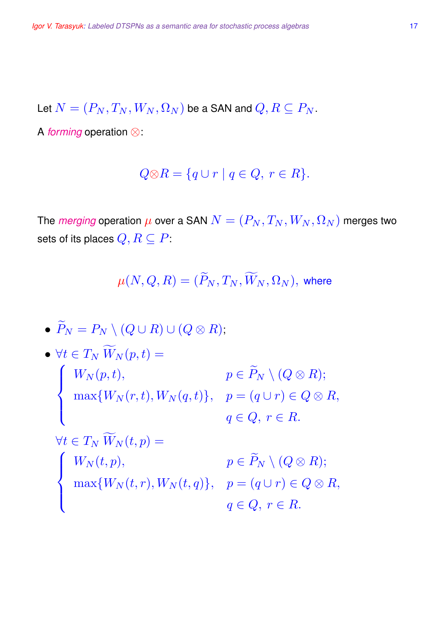Let  $N = (P_N, T_N, W_N, \Omega_N)$  be a SAN and  $Q, R \subseteq P_N$ .

A *forming* operation ⊗:

$$
Q \otimes R = \{ q \cup r \mid q \in Q, r \in R \}.
$$

The *merging* operation  $\mu$  over a SAN  $N = (P_N, T_N, W_N, \Omega_N)$  merges two sets of its places  $Q, R \subseteq P$ :

$$
\mu(N,Q,R)=(\widetilde{P}_N,T_N,\widetilde{W}_N,\Omega_N),\text{ where }
$$

• 
$$
\widetilde{P}_N = P_N \setminus (Q \cup R) \cup (Q \otimes R);
$$
  
\n•  $\forall t \in T_N \widetilde{W}_N(p, t) =$   
\n
$$
\begin{cases}\nW_N(p, t), & p \in \widetilde{P}_N \setminus (Q \otimes R); \\
\max\{W_N(r, t), W_N(q, t)\}, & p = (q \cup r) \in Q \otimes R, \\
q \in Q, r \in R.\n\end{cases}
$$
\n
$$
\forall t \in T_N \widetilde{W}_N(t, p) =
$$
\n
$$
\begin{cases}\nW_N(t, p), & p \in \widetilde{P}_N \setminus (Q \otimes R); \\
\max\{W_N(t, r), W_N(t, q)\}, & p = (q \cup r) \in Q \otimes R, \\
q \in Q, r \in R.\n\end{cases}
$$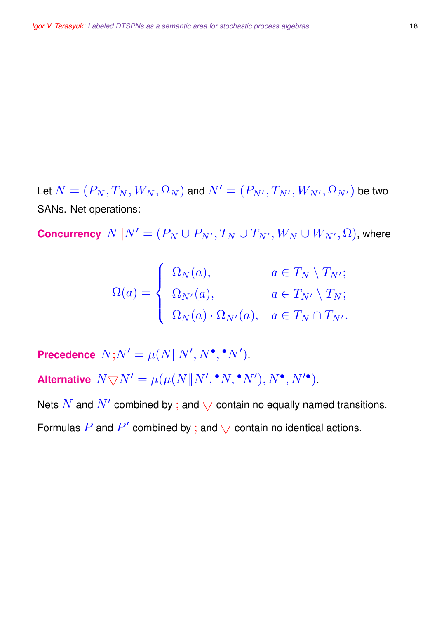Let  $N=(P_N, T_N, W_N, \Omega_N)$  and  $N'=(P_{N'}, T_{N'}, W_{N'}, \Omega_{N'})$  be two SANs. Net operations:

**Concurrency**  $N \| N' = (P_N \cup P_{N'}, T_N \cup T_{N'}, W_N \cup W_{N'}, \Omega)$ , where

$$
\Omega(a) = \begin{cases} \Omega_N(a), & a \in T_N \setminus T_{N'}; \\ \Omega_{N'}(a), & a \in T_{N'} \setminus T_N; \\ \Omega_N(a) \cdot \Omega_{N'}(a), & a \in T_N \cap T_{N'}.\end{cases}
$$

**Precedence**  $N;N' = \mu(N||N',N^{\bullet},{}^{\bullet}N').$ 

Alternative  $N \bigtriangledown N' = \mu(\mu(N \| N', \cdot N, \cdot N'), N', N'')$ .

Nets  $\overline{N}$  and  $\overline{N}'$  combined by ; and  $\overline{\bigtriangledown}$  contain no equally named transitions. Formulas  $P$  and  $P'$  combined by ; and  $\bigtriangledown$  contain no identical actions.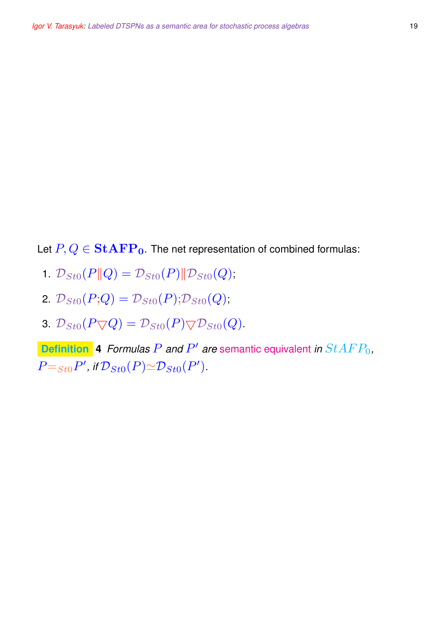Let  $P, Q \in \mathbf{StAFP_0}$ . The net representation of combined formulas:

- 1.  $\mathcal{D}_{St0}(P||Q) = \mathcal{D}_{St0}(P)||\mathcal{D}_{St0}(Q);$
- 2.  $\mathcal{D}_{St0}(P;Q) = \mathcal{D}_{St0}(P); \mathcal{D}_{St0}(Q);$
- 3.  $\mathcal{D}_{St0}(P\bigtriangledown Q) = \mathcal{D}_{St0}(P)\bigtriangledown\mathcal{D}_{St0}(Q).$

**Definition** 4 *Formulas P and P' are* semantic equivalent *in*  $StAFP_0$ ,  $P =_{St0} P'$ , if  $\mathcal{D}_{St0}(P) \simeq \mathcal{D}_{St0}(P')$ .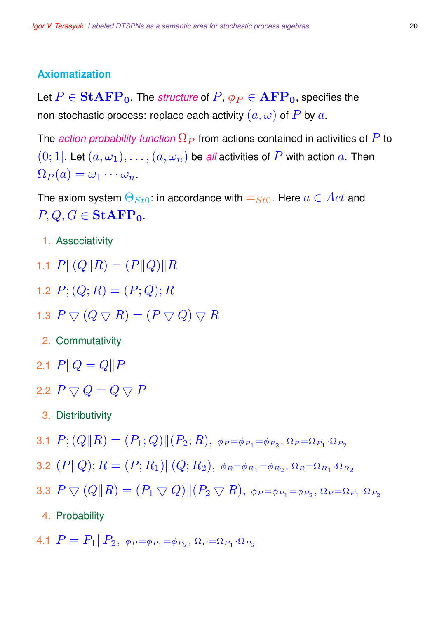#### **Axiomatization**

Let  $P \in \text{StAFP}_0$ . The *structure* of  $P, \phi_P \in \text{AFP}_0$ , specifies the non-stochastic process: replace each activity  $(a, \omega)$  of P by a.

The *action probability function*  $\Omega_P$  from actions contained in activities of P to  $(0; 1]$ . Let  $(a, \omega_1), \ldots, (a, \omega_n)$  be *all* activities of P with action a. Then  $\Omega_P(a) = \omega_1 \cdots \omega_n.$ 

The axiom system  $\Theta_{St0}$ : in accordance with  $=$   $_{St0}$ . Here  $a \in Act$  and  $P, Q, G \in \mathbf{StAFP}_0$ .

- 1. Associativity
- 1.1  $P||(Q||R) = (P||Q)||R$
- 1.2  $P$ ;  $(Q; R) = (P; Q); R$
- 1.3  $P \bigtriangledown (Q \bigtriangledown R) = (P \bigtriangledown Q) \bigtriangledown R$ 
	- 2. Commutativity
- 2.1  $P||Q = Q||P$
- 2.2  $P \nabla Q = Q \nabla P$ 
	- 3. Distributivity
- 3.1  $P; (Q \| R) = (P_1; Q) \| (P_2; R), \ \phi_P = \phi_{P_1} = \phi_{P_2}, \Omega_P = \Omega_{P_1} \cdot \Omega_{P_2}$
- 3.2  $(P \| Q); R = (P; R_1) \| (Q; R_2), \ \phi_R = \phi_{R_1} = \phi_{R_2}, \Omega_R = \Omega_{R_1} \cdot \Omega_{R_2}$
- 3.3  $P \bigtriangledown (Q \| R) = (P_1 \bigtriangledown Q) \| (P_2 \bigtriangledown R),\ \phi_P = \phi_{P_1} = \phi_{P_2},\ \Omega_P = \Omega_{P_1} \cdot \Omega_{P_2}$ 
	- 4. Probability
- 4.1  $P = P_1 \| P_2$ ,  $\phi_P = \phi_{P_1} = \phi_{P_2}$ ,  $\Omega_P = \Omega_{P_1} \cdot \Omega_{P_2}$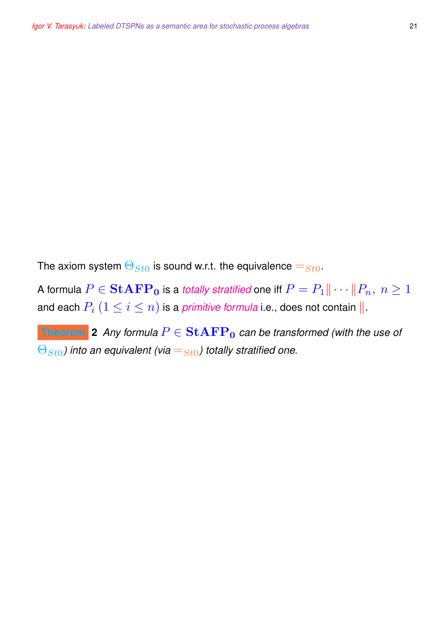The axiom system  $\Theta_{St0}$  is sound w.r.t. the equivalence  $=_{St0}$ .

A formula  $P\in\textbf{StAFP}_{\textbf{0}}$  is a *totally stratified* one iff  $P=P_1\|\cdots\|P_n,\ n\geq 1$ and each  $P_i$   $(1\leq i\leq n)$  is a *primitive formula* i.e., does not contain  $\| .$ 

**Theorem** 2 *Any formula*  $P \in \mathbf{StAFP}_0$  *can be transformed (with the use of*  $\Theta_{St0}$ ) into an equivalent (via  $=s_{t0}$ ) totally stratified one.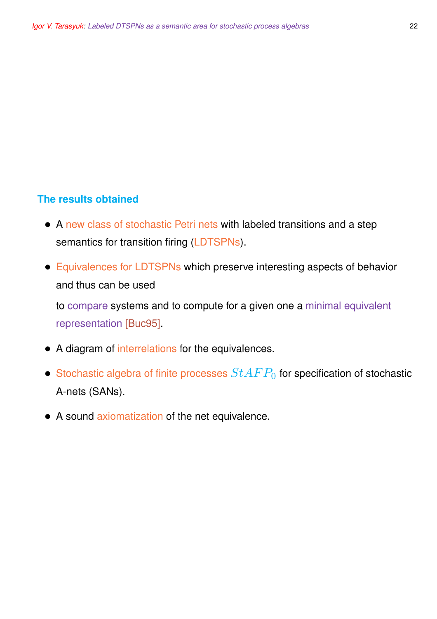## **The results obtained**

- A new class of stochastic Petri nets with labeled transitions and a step semantics for transition firing (LDTSPNs).
- Equivalences for LDTSPNs which preserve interesting aspects of behavior and thus can be used

to compare systems and to compute for a given one a minimal equivalent representation [Buc95].

- A diagram of interrelations for the equivalences.
- Stochastic algebra of finite processes  $StAFP_0$  for specification of stochastic A-nets (SANs).
- A sound axiomatization of the net equivalence.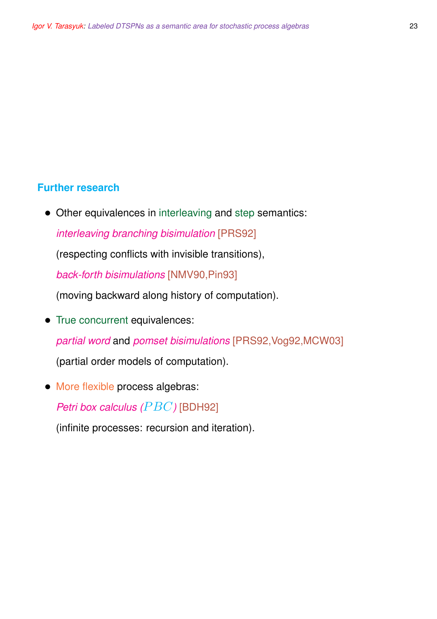## **Further research**

• Other equivalences in interleaving and step semantics:

*interleaving branching bisimulation* [PRS92]

(respecting conflicts with invisible transitions),

*back-forth bisimulations* [NMV90,Pin93]

(moving backward along history of computation).

• True concurrent equivalences:

*partial word* and *pomset bisimulations* [PRS92,Vog92,MCW03]

(partial order models of computation).

• More flexible process algebras:

*Petri box calculus (PBC)* [BDH92]

(infinite processes: recursion and iteration).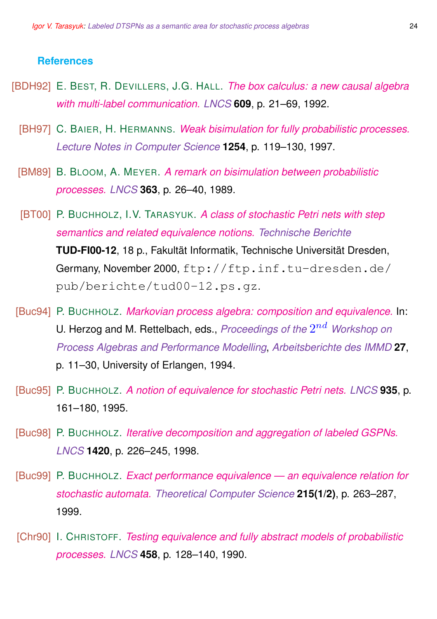#### **References**

- [BDH92] E. BEST, R. DEVILLERS, J.G. HALL. *The box calculus: a new causal algebra with multi-label communication. LNCS* **609**, p. 21–69, 1992.
	- [BH97] C. BAIER, H. HERMANNS. *Weak bisimulation for fully probabilistic processes. Lecture Notes in Computer Science* **1254**, p. 119–130, 1997.
	- [BM89] B. BLOOM, A. MEYER. *A remark on bisimulation between probabilistic processes. LNCS* **363**, p. 26–40, 1989.
	- [BT00] P. BUCHHOLZ, I.V. TARASYUK. *A class of stochastic Petri nets with step semantics and related equivalence notions. Technische Berichte* **TUD-FI00-12**, 18 p., Fakultät Informatik, Technische Universität Dresden, Germany, November 2000, ftp://ftp.inf.tu-dresden.de/ pub/berichte/tud00-12.ps.gz.
- [Buc94] P. BUCHHOLZ. *Markovian process algebra: composition and equivalence.* In: U. Herzog and M. Rettelbach, eds., *Proceedings of the*  $2^{nd}$  *Workshop on Process Algebras and Performance Modelling*, *Arbeitsberichte des IMMD* **27**, p. 11–30, University of Erlangen, 1994.
- [Buc95] P. BUCHHOLZ. *A notion of equivalence for stochastic Petri nets. LNCS* **935**, p. 161–180, 1995.
- [Buc98] P. BUCHHOLZ. *Iterative decomposition and aggregation of labeled GSPNs. LNCS* **1420**, p. 226–245, 1998.
- [Buc99] P. BUCHHOLZ. *Exact performance equivalence an equivalence relation for stochastic automata. Theoretical Computer Science* **215(1/2)**, p. 263–287, 1999.
- [Chr90] I. CHRISTOFF. *Testing equivalence and fully abstract models of probabilistic processes. LNCS* **458**, p. 128–140, 1990.